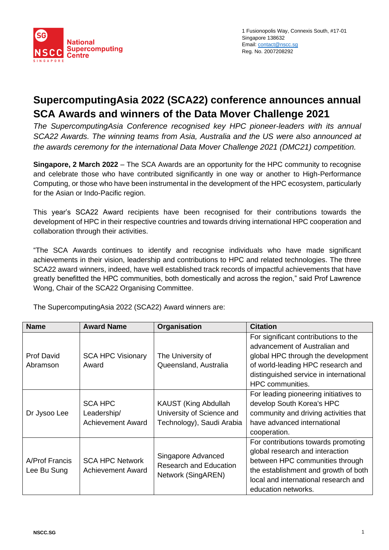

# **SupercomputingAsia 2022 (SCA22) conference announces annual SCA Awards and winners of the Data Mover Challenge 2021**

*The SupercomputingAsia Conference recognised key HPC pioneer-leaders with its annual SCA22 Awards. The winning teams from Asia, Australia and the US were also announced at the awards ceremony for the international Data Mover Challenge 2021 (DMC21) competition.* 

**Singapore, 2 March 2022** – The SCA Awards are an opportunity for the HPC community to recognise and celebrate those who have contributed significantly in one way or another to High-Performance Computing, or those who have been instrumental in the development of the HPC ecosystem, particularly for the Asian or Indo-Pacific region.

This year's SCA22 Award recipients have been recognised for their contributions towards the development of HPC in their respective countries and towards driving international HPC cooperation and collaboration through their activities.

"The SCA Awards continues to identify and recognise individuals who have made significant achievements in their vision, leadership and contributions to HPC and related technologies. The three SCA22 award winners, indeed, have well established track records of impactful achievements that have greatly benefitted the HPC communities, both domestically and across the region," said Prof Lawrence Wong, Chair of the SCA22 Organising Committee.

| <b>Name</b>                   | <b>Award Name</b>                                         | Organisation                                                                   | <b>Citation</b>                                                                                                                                                                                                  |  |
|-------------------------------|-----------------------------------------------------------|--------------------------------------------------------------------------------|------------------------------------------------------------------------------------------------------------------------------------------------------------------------------------------------------------------|--|
| <b>Prof David</b><br>Abramson | <b>SCA HPC Visionary</b><br>Award                         | The University of<br>Queensland, Australia                                     | For significant contributions to the<br>advancement of Australian and<br>global HPC through the development<br>of world-leading HPC research and<br>distinguished service in international<br>HPC communities.   |  |
| Dr Jysoo Lee                  | <b>SCA HPC</b><br>Leadership/<br><b>Achievement Award</b> | KAUST (King Abdullah<br>University of Science and<br>Technology), Saudi Arabia | For leading pioneering initiatives to<br>develop South Korea's HPC<br>community and driving activities that<br>have advanced international<br>cooperation.                                                       |  |
| A/Prof Francis<br>Lee Bu Sung | <b>SCA HPC Network</b><br><b>Achievement Award</b>        | Singapore Advanced<br><b>Research and Education</b><br>Network (SingAREN)      | For contributions towards promoting<br>global research and interaction<br>between HPC communities through<br>the establishment and growth of both<br>local and international research and<br>education networks. |  |

The SupercomputingAsia 2022 (SCA22) Award winners are: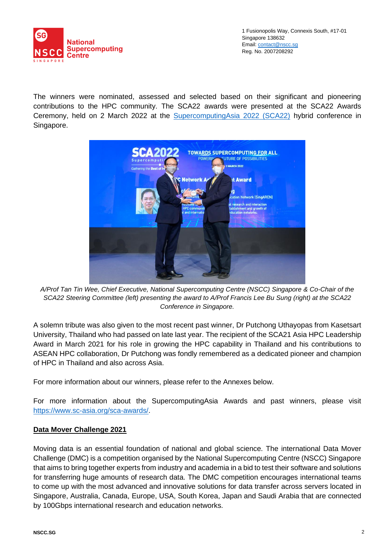

The winners were nominated, assessed and selected based on their significant and pioneering contributions to the HPC community. The SCA22 awards were presented at the SCA22 Awards Ceremony, held on 2 March 2022 at the **SupercomputingAsia 2022 (SCA22)** hybrid conference in Singapore.



*A/Prof Tan Tin Wee, Chief Executive, National Supercomputing Centre (NSCC) Singapore & Co-Chair of the SCA22 Steering Committee (left) presenting the award to A/Prof Francis Lee Bu Sung (right) at the SCA22 Conference in Singapore.*

A solemn tribute was also given to the most recent past winner, Dr Putchong Uthayopas from Kasetsart University, Thailand who had passed on late last year. The recipient of the SCA21 Asia HPC Leadership Award in March 2021 for his role in growing the HPC capability in Thailand and his contributions to ASEAN HPC collaboration, Dr Putchong was fondly remembered as a dedicated pioneer and champion of HPC in Thailand and also across Asia.

For more information about our winners, please refer to the Annexes below.

For more information about the SupercomputingAsia Awards and past winners, please visit [https://www.sc-asia.org/sca-awards/.](https://www.sc-asia.org/sca-awards/)

#### **Data Mover Challenge 2021**

Moving data is an essential foundation of national and global science. The international Data Mover Challenge (DMC) is a competition organised by the National Supercomputing Centre (NSCC) Singapore that aims to bring together experts from industry and academia in a bid to test their software and solutions for transferring huge amounts of research data. The DMC competition encourages international teams to come up with the most advanced and innovative solutions for data transfer across servers located in Singapore, Australia, Canada, Europe, USA, South Korea, Japan and Saudi Arabia that are connected by 100Gbps international research and education networks.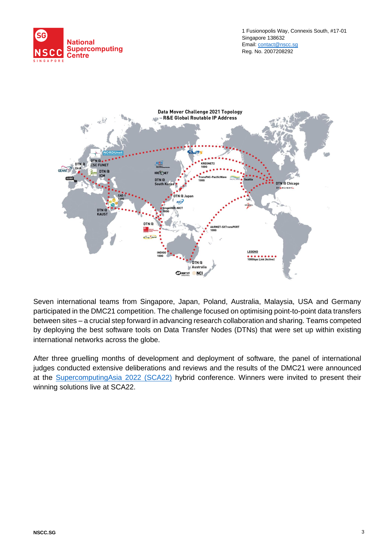



Seven international teams from Singapore, Japan, Poland, Australia, Malaysia, USA and Germany participated in the DMC21 competition. The challenge focused on optimising point-to-point data transfers between sites – a crucial step forward in advancing research collaboration and sharing. Teams competed by deploying the best software tools on Data Transfer Nodes (DTNs) that were set up within existing international networks across the globe.

After three gruelling months of development and deployment of software, the panel of international judges conducted extensive deliberations and reviews and the results of the DMC21 were announced at the [SupercomputingAsia 2022](http://www.sc-asia.org/) (SCA22) hybrid conference. Winners were invited to present their winning solutions live at SCA22.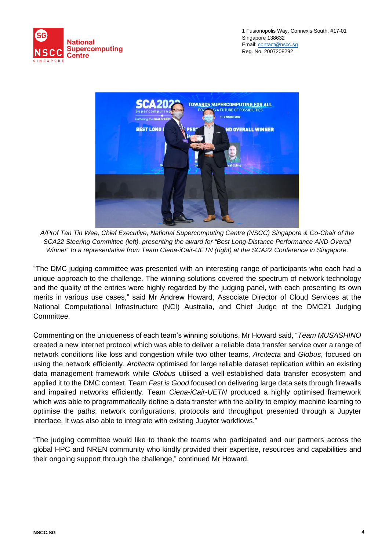



*A/Prof Tan Tin Wee, Chief Executive, National Supercomputing Centre (NSCC) Singapore & Co-Chair of the SCA22 Steering Committee (left), presenting the award for "Best Long-Distance Performance AND Overall Winner" to a representative from Team Ciena-iCair-UETN (right) at the SCA22 Conference in Singapore.*

"The DMC judging committee was presented with an interesting range of participants who each had a unique approach to the challenge. The winning solutions covered the spectrum of network technology and the quality of the entries were highly regarded by the judging panel, with each presenting its own merits in various use cases," said Mr Andrew Howard, Associate Director of Cloud Services at the National Computational Infrastructure (NCI) Australia, and Chief Judge of the DMC21 Judging Committee.

Commenting on the uniqueness of each team's winning solutions, Mr Howard said, "*Team MUSASHINO* created a new internet protocol which was able to deliver a reliable data transfer service over a range of network conditions like loss and congestion while two other teams, *Arcitecta* and *Globus*, focused on using the network efficiently. *Arcitecta* optimised for large reliable dataset replication within an existing data management framework while *Globus* utilised a well-established data transfer ecosystem and applied it to the DMC context. Team *Fast is Good* focused on delivering large data sets through firewalls and impaired networks efficiently. Team *Ciena-iCair-UETN* produced a highly optimised framework which was able to programmatically define a data transfer with the ability to employ machine learning to optimise the paths, network configurations, protocols and throughput presented through a Jupyter interface. It was also able to integrate with existing Jupyter workflows."

"The judging committee would like to thank the teams who participated and our partners across the global HPC and NREN community who kindly provided their expertise, resources and capabilities and their ongoing support through the challenge," continued Mr Howard.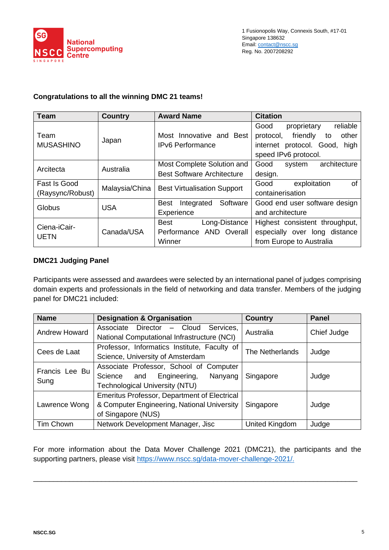

### **Congratulations to all the winning DMC 21 teams!**

| <b>Team</b>      | <b>Country</b> | <b>Award Name</b>                     | <b>Citation</b>                      |  |
|------------------|----------------|---------------------------------------|--------------------------------------|--|
|                  | Japan          |                                       | reliable<br>Good<br>proprietary      |  |
| Team             |                | Most Innovative and Best              | friendly<br>other<br>protocol,<br>to |  |
| <b>MUSASHINO</b> |                | <b>IPv6 Performance</b>               | internet protocol. Good,<br>high     |  |
|                  |                |                                       | speed IPv6 protocol.                 |  |
| Arcitecta        | Australia      | Most Complete Solution and            | architecture<br>Good<br>system       |  |
|                  |                | <b>Best Software Architecture</b>     | design.                              |  |
| Fast Is Good     |                |                                       | exploitation<br>Good<br>οf           |  |
| (Raysync/Robust) | Malaysia/China | <b>Best Virtualisation Support</b>    | containerisation                     |  |
| Globus           | <b>USA</b>     | Software<br><b>Best</b><br>Integrated | Good end user software design        |  |
|                  |                | Experience                            | and architecture                     |  |
| Ciena-iCair-     | Canada/USA     | Best<br>Long-Distance                 | Highest consistent throughput,       |  |
| <b>UETN</b>      |                | Performance AND Overall               | especially over long distance        |  |
|                  |                | Winner                                | from Europe to Australia             |  |

### **DMC21 Judging Panel**

Participants were assessed and awardees were selected by an international panel of judges comprising domain experts and professionals in the field of networking and data transfer. Members of the judging panel for DMC21 included:

| <b>Name</b>            | <b>Designation &amp; Organisation</b>               | <b>Country</b>  | <b>Panel</b> |
|------------------------|-----------------------------------------------------|-----------------|--------------|
| Andrew Howard          | Associate Director - Cloud<br>Services,             | Australia       | Chief Judge  |
|                        | National Computational Infrastructure (NCI)         |                 |              |
| Cees de Laat           | Professor, Informatics Institute, Faculty of        | The Netherlands | Judge        |
|                        | Science, University of Amsterdam                    |                 |              |
| Francis Lee Bu<br>Sung | Associate Professor, School of Computer             |                 |              |
|                        | Engineering,<br>Nanyang<br>Science and              | Singapore       | Judge        |
|                        | Technological University (NTU)                      |                 |              |
| Lawrence Wong          | <b>Emeritus Professor, Department of Electrical</b> |                 |              |
|                        | & Computer Engineering, National University         | Singapore       | Judge        |
|                        | of Singapore (NUS)                                  |                 |              |
| Tim Chown              | Network Development Manager, Jisc                   | United Kingdom  | Judge        |

For more information about the Data Mover Challenge 2021 (DMC21), the participants and the supporting partners, please visit [https://www.nscc.sg/data-mover-challenge-2021/.](https://www.nscc.sg/data-mover-challenge-2021/)

\_\_\_\_\_\_\_\_\_\_\_\_\_\_\_\_\_\_\_\_\_\_\_\_\_\_\_\_\_\_\_\_\_\_\_\_\_\_\_\_\_\_\_\_\_\_\_\_\_\_\_\_\_\_\_\_\_\_\_\_\_\_\_\_\_\_\_\_\_\_\_\_\_\_\_\_\_\_\_\_\_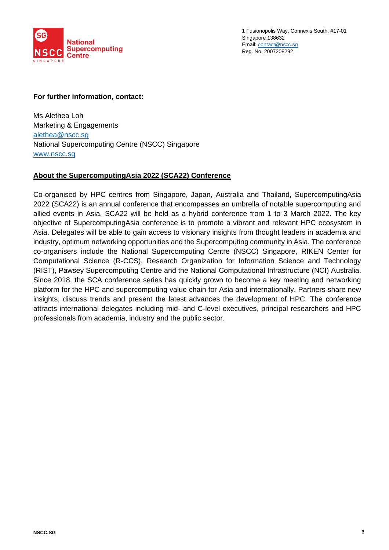

### **For further information, contact:**

Ms Alethea Loh Marketing & Engagements [alethea@nscc.sg](mailto:alethea@nscc.sg) National Supercomputing Centre (NSCC) Singapore [www.nscc.sg](file:///C:/Users/eugen/Downloads/www.nscc.sg)

#### **About the SupercomputingAsia 2022 (SCA22) Conference**

Co-organised by HPC centres from Singapore, Japan, Australia and Thailand, SupercomputingAsia 2022 (SCA22) is an annual conference that encompasses an umbrella of notable supercomputing and allied events in Asia. SCA22 will be held as a hybrid conference from 1 to 3 March 2022. The key objective of SupercomputingAsia conference is to promote a vibrant and relevant HPC ecosystem in Asia. Delegates will be able to gain access to visionary insights from thought leaders in academia and industry, optimum networking opportunities and the Supercomputing community in Asia. The conference co-organisers include the National Supercomputing Centre (NSCC) Singapore, RIKEN Center for Computational Science (R-CCS), Research Organization for Information Science and Technology (RIST), Pawsey Supercomputing Centre and the National Computational Infrastructure (NCI) Australia. Since 2018, the SCA conference series has quickly grown to become a key meeting and networking platform for the HPC and supercomputing value chain for Asia and internationally. Partners share new insights, discuss trends and present the latest advances the development of HPC. The conference attracts international delegates including mid- and C-level executives, principal researchers and HPC professionals from academia, industry and the public sector.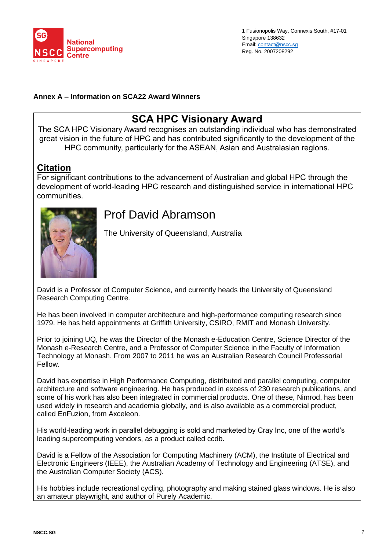

### **Annex A – Information on SCA22 Award Winners**

## **SCA HPC Visionary Award**

The SCA HPC Visionary Award recognises an outstanding individual who has demonstrated great vision in the future of HPC and has contributed significantly to the development of the HPC community, particularly for the ASEAN, Asian and Australasian regions.

## **Citation**

For significant contributions to the advancement of Australian and global HPC through the development of world-leading HPC research and distinguished service in international HPC communities.



# Prof David Abramson

The University of Queensland, Australia

David is a Professor of Computer Science, and currently heads the University of Queensland Research Computing Centre.

He has been involved in computer architecture and high-performance computing research since 1979. He has held appointments at Griffith University, CSIRO, RMIT and Monash University.

Prior to joining UQ, he was the Director of the Monash e-Education Centre, Science Director of the Monash e-Research Centre, and a Professor of Computer Science in the Faculty of Information Technology at Monash. From 2007 to 2011 he was an Australian Research Council Professorial Fellow.

David has expertise in High Performance Computing, distributed and parallel computing, computer architecture and software engineering. He has produced in excess of 230 research publications, and some of his work has also been integrated in commercial products. One of these, Nimrod, has been used widely in research and academia globally, and is also available as a commercial product, called EnFuzion, from Axceleon.

His world-leading work in parallel debugging is sold and marketed by Cray Inc, one of the world's leading supercomputing vendors, as a product called ccdb.

David is a Fellow of the Association for Computing Machinery (ACM), the Institute of Electrical and Electronic Engineers (IEEE), the Australian Academy of Technology and Engineering (ATSE), and the Australian Computer Society (ACS).

His hobbies include recreational cycling, photography and making stained glass windows. He is also an amateur playwright, and author of Purely Academic.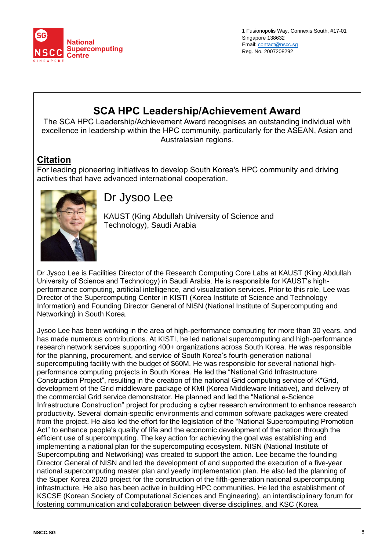

# **SCA HPC Leadership/Achievement Award**

The SCA HPC Leadership/Achievement Award recognises an outstanding individual with excellence in leadership within the HPC community, particularly for the ASEAN, Asian and Australasian regions.

## **Citation**

For leading pioneering initiatives to develop South Korea's HPC community and driving activities that have advanced international cooperation.



# Dr Jysoo Lee

KAUST (King Abdullah University of Science and Technology), Saudi Arabia

Dr Jysoo Lee is Facilities Director of the Research Computing Core Labs at KAUST (King Abdullah University of Science and Technology) in Saudi Arabia. He is responsible for KAUST's highperformance computing, artificial intelligence, and visualization services. Prior to this role, Lee was Director of the Supercomputing Center in KISTI (Korea Institute of Science and Technology Information) and Founding Director General of NISN (National Institute of Supercomputing and Networking) in South Korea.

Jysoo Lee has been working in the area of high-performance computing for more than 30 years, and has made numerous contributions. At KISTI, he led national supercomputing and high-performance research network services supporting 400+ organizations across South Korea. He was responsible for the planning, procurement, and service of South Korea's fourth-generation national supercomputing facility with the budget of \$60M. He was responsible for several national highperformance computing projects in South Korea. He led the "National Grid Infrastructure Construction Project", resulting in the creation of the national Grid computing service of K\*Grid, development of the Grid middleware package of KMI (Korea Middleware Initiative), and delivery of the commercial Grid service demonstrator. He planned and led the "National e-Science Infrastructure Construction" project for producing a cyber research environment to enhance research productivity. Several domain-specific environments and common software packages were created from the project. He also led the effort for the legislation of the "National Supercomputing Promotion Act" to enhance people's quality of life and the economic development of the nation through the efficient use of supercomputing. The key action for achieving the goal was establishing and implementing a national plan for the supercomputing ecosystem. NISN (National Institute of Supercomputing and Networking) was created to support the action. Lee became the founding Director General of NISN and led the development of and supported the execution of a five-year national supercomputing master plan and yearly implementation plan. He also led the planning of the Super Korea 2020 project for the construction of the fifth-generation national supercomputing infrastructure. He also has been active in building HPC communities. He led the establishment of KSCSE (Korean Society of Computational Sciences and Engineering), an interdisciplinary forum for fostering communication and collaboration between diverse disciplines, and KSC (Korea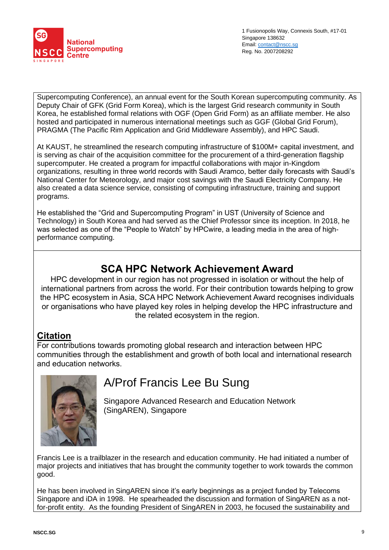

Supercomputing Conference), an annual event for the South Korean supercomputing community. As Deputy Chair of GFK (Grid Form Korea), which is the largest Grid research community in South Korea, he established formal relations with OGF (Open Grid Form) as an affiliate member. He also hosted and participated in numerous international meetings such as GGF (Global Grid Forum), PRAGMA (The Pacific Rim Application and Grid Middleware Assembly), and HPC Saudi.

At KAUST, he streamlined the research computing infrastructure of \$100M+ capital investment, and is serving as chair of the acquisition committee for the procurement of a third-generation flagship supercomputer. He created a program for impactful collaborations with major in-Kingdom organizations, resulting in three world records with Saudi Aramco, better daily forecasts with Saudi's National Center for Meteorology, and major cost savings with the Saudi Electricity Company. He also created a data science service, consisting of computing infrastructure, training and support programs.

He established the "Grid and Supercomputing Program" in UST (University of Science and Technology) in South Korea and had served as the Chief Professor since its inception. In 2018, he was selected as one of the "People to Watch" by HPCwire, a leading media in the area of highperformance computing.

## **SCA HPC Network Achievement Award**

HPC development in our region has not progressed in isolation or without the help of international partners from across the world. For their contribution towards helping to grow the HPC ecosystem in Asia, SCA HPC Network Achievement Award recognises individuals or organisations who have played key roles in helping develop the HPC infrastructure and the related ecosystem in the region.

## **Citation**

For contributions towards promoting global research and interaction between HPC communities through the establishment and growth of both local and international research and education networks.



# A/Prof Francis Lee Bu Sung

Singapore Advanced Research and Education Network (SingAREN), Singapore

Francis Lee is a trailblazer in the research and education community. He had initiated a number of major projects and initiatives that has brought the community together to work towards the common good.

He has been involved in SingAREN since it's early beginnings as a project funded by Telecoms Singapore and iDA in 1998. He spearheaded the discussion and formation of SingAREN as a notfor-profit entity. As the founding President of SingAREN in 2003, he focused the sustainability and